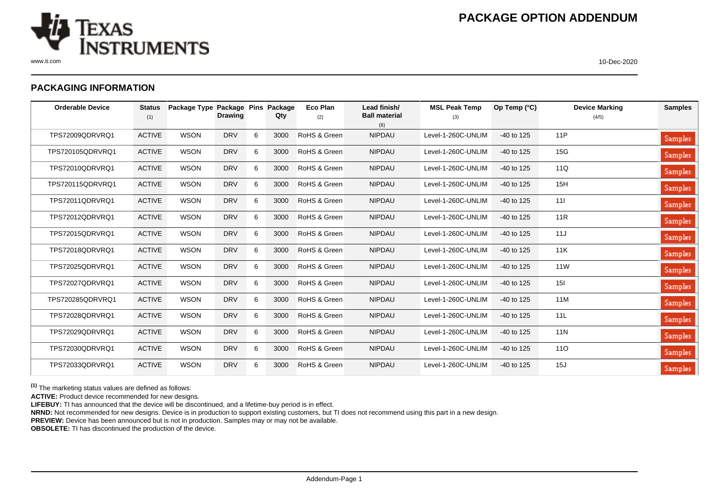

www.ti.com 10-Dec-2020

## **PACKAGING INFORMATION**

| <b>Orderable Device</b> | <b>Status</b><br>(1) | Package Type Package Pins | <b>Drawing</b> |   | Package<br>Qty | Eco Plan<br>(2) | Lead finish/<br><b>Ball material</b><br>(6) | <b>MSL Peak Temp</b><br>(3) | Op Temp (°C) | <b>Device Marking</b><br>(4/5) | <b>Samples</b> |
|-------------------------|----------------------|---------------------------|----------------|---|----------------|-----------------|---------------------------------------------|-----------------------------|--------------|--------------------------------|----------------|
| TPS72009QDRVRQ1         | <b>ACTIVE</b>        | <b>WSON</b>               | <b>DRV</b>     | 6 | 3000           | RoHS & Green    | <b>NIPDAU</b>                               | Level-1-260C-UNLIM          | -40 to 125   | 11P                            | Samples        |
| TPS720105QDRVRQ1        | <b>ACTIVE</b>        | <b>WSON</b>               | <b>DRV</b>     | 6 | 3000           | RoHS & Green    | <b>NIPDAU</b>                               | Level-1-260C-UNLIM          | $-40$ to 125 | 15G                            | Samples        |
| TPS72010QDRVRQ1         | <b>ACTIVE</b>        | <b>WSON</b>               | <b>DRV</b>     | 6 | 3000           | RoHS & Green    | <b>NIPDAU</b>                               | Level-1-260C-UNLIM          | -40 to 125   | 11Q                            | Samples        |
| TPS720115QDRVRQ1        | <b>ACTIVE</b>        | <b>WSON</b>               | <b>DRV</b>     | 6 | 3000           | RoHS & Green    | <b>NIPDAU</b>                               | Level-1-260C-UNLIM          | $-40$ to 125 | 15H                            | Samples        |
| TPS72011QDRVRQ1         | <b>ACTIVE</b>        | <b>WSON</b>               | <b>DRV</b>     | 6 | 3000           | RoHS & Green    | <b>NIPDAU</b>                               | Level-1-260C-UNLIM          | -40 to 125   | 111                            | Samples        |
| TPS72012QDRVRQ1         | <b>ACTIVE</b>        | <b>WSON</b>               | <b>DRV</b>     | 6 | 3000           | RoHS & Green    | <b>NIPDAU</b>                               | Level-1-260C-UNLIM          | -40 to 125   | 11R                            | Samples        |
| TPS72015QDRVRQ1         | <b>ACTIVE</b>        | <b>WSON</b>               | <b>DRV</b>     | 6 | 3000           | RoHS & Green    | <b>NIPDAU</b>                               | Level-1-260C-UNLIM          | $-40$ to 125 | 11J                            | Samples        |
| TPS72018QDRVRQ1         | <b>ACTIVE</b>        | <b>WSON</b>               | <b>DRV</b>     | 6 | 3000           | RoHS & Green    | <b>NIPDAU</b>                               | Level-1-260C-UNLIM          | $-40$ to 125 | 11K                            | Samples        |
| TPS72025QDRVRQ1         | <b>ACTIVE</b>        | <b>WSON</b>               | <b>DRV</b>     | 6 | 3000           | RoHS & Green    | <b>NIPDAU</b>                               | Level-1-260C-UNLIM          | $-40$ to 125 | 11 <sub>W</sub>                | Samples        |
| TPS72027QDRVRQ1         | <b>ACTIVE</b>        | <b>WSON</b>               | <b>DRV</b>     | 6 | 3000           | RoHS & Green    | <b>NIPDAU</b>                               | Level-1-260C-UNLIM          | $-40$ to 125 | 15I                            | Samples        |
| TPS720285QDRVRQ1        | <b>ACTIVE</b>        | <b>WSON</b>               | <b>DRV</b>     | 6 | 3000           | RoHS & Green    | <b>NIPDAU</b>                               | Level-1-260C-UNLIM          | $-40$ to 125 | 11M                            | Samples        |
| TPS72028QDRVRQ1         | <b>ACTIVE</b>        | <b>WSON</b>               | <b>DRV</b>     | 6 | 3000           | RoHS & Green    | <b>NIPDAU</b>                               | Level-1-260C-UNLIM          | -40 to 125   | 11L                            | Samples        |
| TPS72029QDRVRQ1         | <b>ACTIVE</b>        | <b>WSON</b>               | <b>DRV</b>     | 6 | 3000           | RoHS & Green    | <b>NIPDAU</b>                               | Level-1-260C-UNLIM          | $-40$ to 125 | <b>11N</b>                     | Samples        |
| TPS72030QDRVRQ1         | <b>ACTIVE</b>        | <b>WSON</b>               | <b>DRV</b>     | 6 | 3000           | RoHS & Green    | <b>NIPDAU</b>                               | Level-1-260C-UNLIM          | $-40$ to 125 | 110                            | Samples        |
| TPS72033QDRVRQ1         | <b>ACTIVE</b>        | <b>WSON</b>               | <b>DRV</b>     | 6 | 3000           | RoHS & Green    | <b>NIPDAU</b>                               | Level-1-260C-UNLIM          | $-40$ to 125 | 15J                            | Samples        |

**(1)** The marketing status values are defined as follows:

**ACTIVE:** Product device recommended for new designs.

**LIFEBUY:** TI has announced that the device will be discontinued, and a lifetime-buy period is in effect.

**NRND:** Not recommended for new designs. Device is in production to support existing customers, but TI does not recommend using this part in a new design.

**PREVIEW:** Device has been announced but is not in production. Samples may or may not be available.

**OBSOLETE:** TI has discontinued the production of the device.